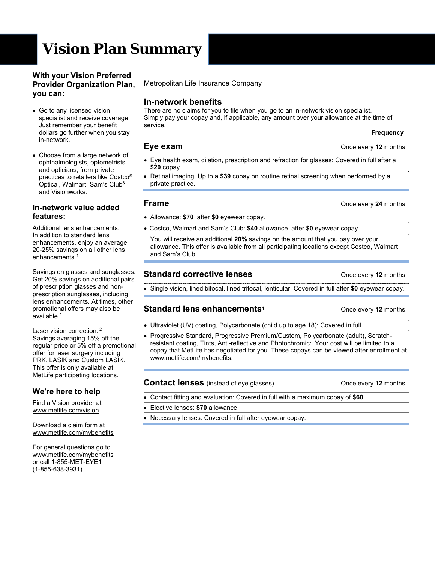# **Vision Plan Summary**

#### **With your Vision Preferred Provider Organization Plan, you can:**

- Go to any licensed vision specialist and receive coverage. Just remember your benefit dollars go further when you stay in-network.
- Choose from a large network of ophthalmologists, optometrists and opticians, from private practices to retailers like Costco® Optical, Walmart, Sam's Club3 and Visionworks.

#### **In-network value added features:**

Additional lens enhancements: In addition to standard lens enhancements, enjoy an average 20-25% savings on all other lens enhancements.<sup>1</sup>

Savings on glasses and sunglasses: Get 20% savings on additional pairs of prescription glasses and nonprescription sunglasses, including lens enhancements. At times, other promotional offers may also be  $a$ vailable.<sup>1</sup>

Laser vision correction: <sup>2</sup> Savings averaging 15% off the regular price or 5% off a promotional offer for laser surgery including PRK, LASIK and Custom LASIK. This offer is only available at MetLife participating locations.

## **We're here to help**

Find a Vision provider at www.metlife.com/vision

Download a claim form at www.metlife.com/mybenefits

For general questions go to www.metlife.com/mybenefits or call 1-855-MET-EYE1 (1-855-638-3931)

Metropolitan Life Insurance Company

## **In-network benefits**

There are no claims for you to file when you go to an in-network vision specialist. Simply pay your copay and, if applicable, any amount over your allowance at the time of service.

# **Eye exam CONCERN EVERS CONCERN EVERS CONCERN EVERS CONCERN EVERS CONCERN EVERS CONCERN EVERS CONCERN EVERS**

- Eye health exam, dilation, prescription and refraction for glasses: Covered in full after a **\$20** copay.
- Retinal imaging: Up to a **\$39** copay on routine retinal screening when performed by a private practice.

## **Frame Calculate 24** months

- Allowance: **\$70** after **\$0** eyewear copay.
- Costco, Walmart and Sam's Club: **\$40** allowance after **\$0** eyewear copay.

You will receive an additional **20%** savings on the amount that you pay over your allowance. This offer is available from all participating locations except Costco, Walmart and Sam's Club.

# **Standard corrective lenses Canadian Extending Conce every 12 months**

Single vision, lined bifocal, lined trifocal, lenticular: Covered in full after **\$0** eyewear copay.

## **Standard lens enhancements<sup>1</sup> 12 months** Once every 12 months

- Ultraviolet (UV) coating, Polycarbonate (child up to age 18): Covered in full.
- Progressive Standard, Progressive Premium/Custom, Polycarbonate (adult), Scratchresistant coating, Tints, Anti-reflective and Photochromic: Your cost will be limited to a copay that MetLife has negotiated for you. These copays can be viewed after enrollment at www.metlife.com/mybenefits.

#### **Contact lenses** (instead of eye glasses) Once every 12 months

- Contact fitting and evaluation: Covered in full with a maximum copay of **\$60**.
- Elective lenses: **\$70** allowance.
- Necessary lenses: Covered in full after eyewear copay.

 **Frequency**